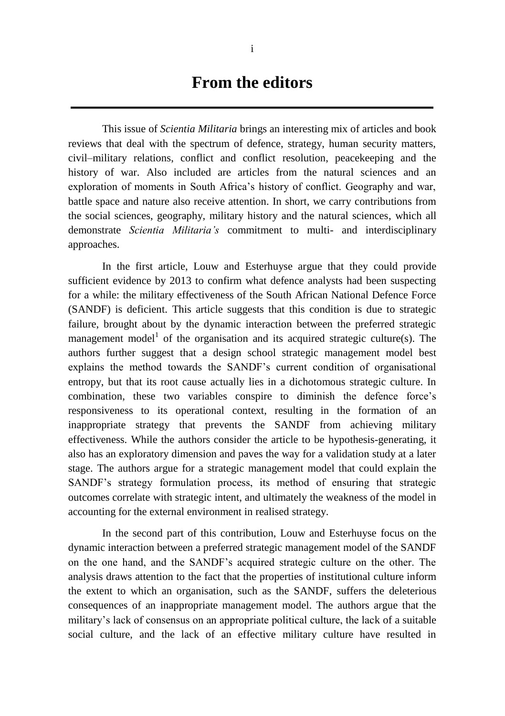## **From the editors**

This issue of *Scientia Militaria* brings an interesting mix of articles and book reviews that deal with the spectrum of defence, strategy, human security matters, civil–military relations, conflict and conflict resolution, peacekeeping and the history of war. Also included are articles from the natural sciences and an exploration of moments in South Africa's history of conflict. Geography and war, battle space and nature also receive attention. In short, we carry contributions from the social sciences, geography, military history and the natural sciences, which all demonstrate *Scientia Militaria's* commitment to multi- and interdisciplinary approaches.

In the first article, Louw and Esterhuyse argue that they could provide sufficient evidence by 2013 to confirm what defence analysts had been suspecting for a while: the military effectiveness of the South African National Defence Force (SANDF) is deficient. This article suggests that this condition is due to strategic failure, brought about by the dynamic interaction between the preferred strategic management model<sup>1</sup> of the organisation and its acquired strategic culture(s). The authors further suggest that a design school strategic management model best explains the method towards the SANDF's current condition of organisational entropy, but that its root cause actually lies in a dichotomous strategic culture. In combination, these two variables conspire to diminish the defence force's responsiveness to its operational context, resulting in the formation of an inappropriate strategy that prevents the SANDF from achieving military effectiveness. While the authors consider the article to be hypothesis-generating, it also has an exploratory dimension and paves the way for a validation study at a later stage. The authors argue for a strategic management model that could explain the SANDF's strategy formulation process, its method of ensuring that strategic outcomes correlate with strategic intent, and ultimately the weakness of the model in accounting for the external environment in realised strategy.

In the second part of this contribution, Louw and Esterhuyse focus on the dynamic interaction between a preferred strategic management model of the SANDF on the one hand, and the SANDF's acquired strategic culture on the other. The analysis draws attention to the fact that the properties of institutional culture inform the extent to which an organisation, such as the SANDF, suffers the deleterious consequences of an inappropriate management model. The authors argue that the military's lack of consensus on an appropriate political culture, the lack of a suitable social culture, and the lack of an effective military culture have resulted in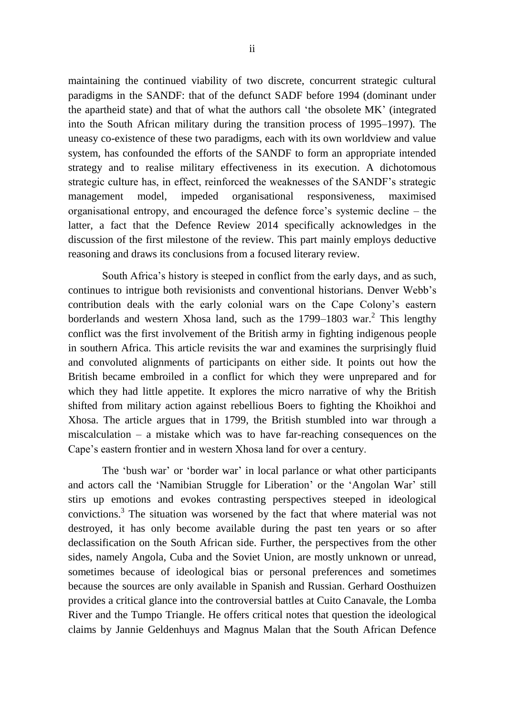maintaining the continued viability of two discrete, concurrent strategic cultural paradigms in the SANDF: that of the defunct SADF before 1994 (dominant under the apartheid state) and that of what the authors call 'the obsolete MK' (integrated into the South African military during the transition process of 1995–1997). The uneasy co-existence of these two paradigms, each with its own worldview and value system, has confounded the efforts of the SANDF to form an appropriate intended strategy and to realise military effectiveness in its execution. A dichotomous strategic culture has, in effect, reinforced the weaknesses of the SANDF's strategic management model, impeded organisational responsiveness, maximised organisational entropy, and encouraged the defence force's systemic decline – the latter, a fact that the Defence Review 2014 specifically acknowledges in the discussion of the first milestone of the review. This part mainly employs deductive reasoning and draws its conclusions from a focused literary review.

South Africa's history is steeped in conflict from the early days, and as such, continues to intrigue both revisionists and conventional historians. Denver Webb's contribution deals with the early colonial wars on the Cape Colony's eastern borderlands and western Xhosa land, such as the  $1799-1803$  war.<sup>2</sup> This lengthy conflict was the first involvement of the British army in fighting indigenous people in southern Africa. This article revisits the war and examines the surprisingly fluid and convoluted alignments of participants on either side. It points out how the British became embroiled in a conflict for which they were unprepared and for which they had little appetite. It explores the micro narrative of why the British shifted from military action against rebellious Boers to fighting the Khoikhoi and Xhosa. The article argues that in 1799, the British stumbled into war through a miscalculation – a mistake which was to have far-reaching consequences on the Cape's eastern frontier and in western Xhosa land for over a century.

The 'bush war' or 'border war' in local parlance or what other participants and actors call the 'Namibian Struggle for Liberation' or the 'Angolan War' still stirs up emotions and evokes contrasting perspectives steeped in ideological convictions.<sup>3</sup> The situation was worsened by the fact that where material was not destroyed, it has only become available during the past ten years or so after declassification on the South African side. Further, the perspectives from the other sides, namely Angola, Cuba and the Soviet Union, are mostly unknown or unread, sometimes because of ideological bias or personal preferences and sometimes because the sources are only available in Spanish and Russian. Gerhard Oosthuizen provides a critical glance into the controversial battles at Cuito Canavale, the Lomba River and the Tumpo Triangle. He offers critical notes that question the ideological claims by Jannie Geldenhuys and Magnus Malan that the South African Defence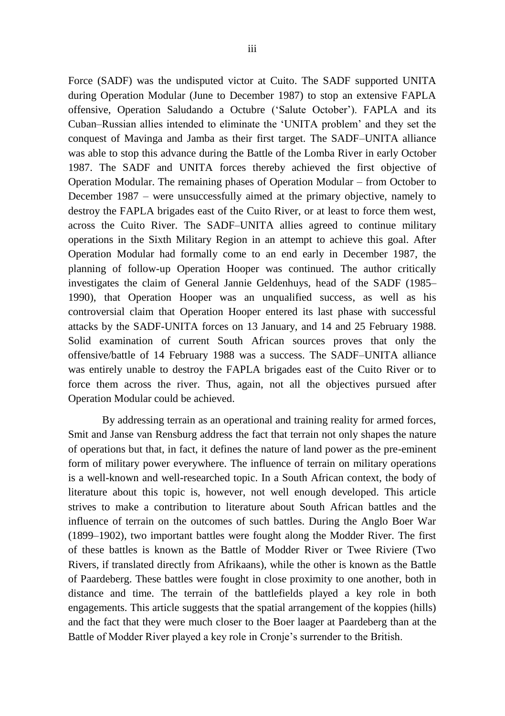Force (SADF) was the undisputed victor at Cuito. The SADF supported UNITA during Operation Modular (June to December 1987) to stop an extensive FAPLA offensive, Operation Saludando a Octubre ('Salute October'). FAPLA and its Cuban–Russian allies intended to eliminate the 'UNITA problem' and they set the conquest of Mavinga and Jamba as their first target. The SADF–UNITA alliance was able to stop this advance during the Battle of the Lomba River in early October 1987. The SADF and UNITA forces thereby achieved the first objective of Operation Modular. The remaining phases of Operation Modular – from October to December 1987 – were unsuccessfully aimed at the primary objective, namely to destroy the FAPLA brigades east of the Cuito River, or at least to force them west, across the Cuito River. The SADF–UNITA allies agreed to continue military operations in the Sixth Military Region in an attempt to achieve this goal. After Operation Modular had formally come to an end early in December 1987, the planning of follow-up Operation Hooper was continued. The author critically investigates the claim of General Jannie Geldenhuys, head of the SADF (1985– 1990), that Operation Hooper was an unqualified success, as well as his controversial claim that Operation Hooper entered its last phase with successful attacks by the SADF-UNITA forces on 13 January, and 14 and 25 February 1988. Solid examination of current South African sources proves that only the offensive/battle of 14 February 1988 was a success. The SADF–UNITA alliance was entirely unable to destroy the FAPLA brigades east of the Cuito River or to force them across the river. Thus, again, not all the objectives pursued after Operation Modular could be achieved.

By addressing terrain as an operational and training reality for armed forces, Smit and Janse van Rensburg address the fact that terrain not only shapes the nature of operations but that, in fact, it defines the nature of land power as the pre-eminent form of military power everywhere. The influence of terrain on military operations is a well-known and well-researched topic. In a South African context, the body of literature about this topic is, however, not well enough developed. This article strives to make a contribution to literature about South African battles and the influence of terrain on the outcomes of such battles. During the Anglo Boer War (1899–1902), two important battles were fought along the Modder River. The first of these battles is known as the Battle of Modder River or Twee Riviere (Two Rivers, if translated directly from Afrikaans), while the other is known as the Battle of Paardeberg. These battles were fought in close proximity to one another, both in distance and time. The terrain of the battlefields played a key role in both engagements. This article suggests that the spatial arrangement of the koppies (hills) and the fact that they were much closer to the Boer laager at Paardeberg than at the Battle of Modder River played a key role in Cronje's surrender to the British.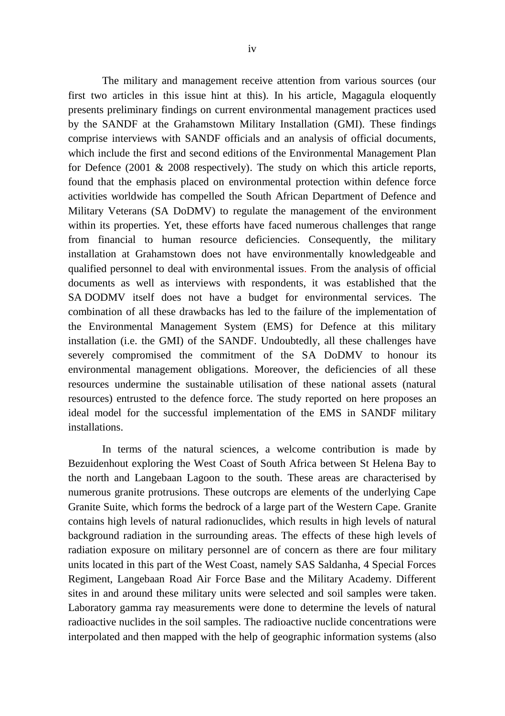The military and management receive attention from various sources (our first two articles in this issue hint at this). In his article, Magagula eloquently presents preliminary findings on current environmental management practices used by the SANDF at the Grahamstown Military Installation (GMI). These findings comprise interviews with SANDF officials and an analysis of official documents, which include the first and second editions of the Environmental Management Plan for Defence (2001 & 2008 respectively). The study on which this article reports, found that the emphasis placed on environmental protection within defence force activities worldwide has compelled the South African Department of Defence and Military Veterans (SA DoDMV) to regulate the management of the environment within its properties. Yet, these efforts have faced numerous challenges that range from financial to human resource deficiencies. Consequently, the military installation at Grahamstown does not have environmentally knowledgeable and qualified personnel to deal with environmental issues. From the analysis of official documents as well as interviews with respondents, it was established that the SA DODMV itself does not have a budget for environmental services. The combination of all these drawbacks has led to the failure of the implementation of the Environmental Management System (EMS) for Defence at this military installation (i.e. the GMI) of the SANDF. Undoubtedly, all these challenges have severely compromised the commitment of the SA DoDMV to honour its environmental management obligations. Moreover, the deficiencies of all these resources undermine the sustainable utilisation of these national assets (natural resources) entrusted to the defence force. The study reported on here proposes an ideal model for the successful implementation of the EMS in SANDF military installations.

In terms of the natural sciences, a welcome contribution is made by Bezuidenhout exploring the West Coast of South Africa between St Helena Bay to the north and Langebaan Lagoon to the south. These areas are characterised by numerous granite protrusions. These outcrops are elements of the underlying Cape Granite Suite, which forms the bedrock of a large part of the Western Cape. Granite contains high levels of natural radionuclides, which results in high levels of natural background radiation in the surrounding areas. The effects of these high levels of radiation exposure on military personnel are of concern as there are four military units located in this part of the West Coast, namely SAS Saldanha, 4 Special Forces Regiment, Langebaan Road Air Force Base and the Military Academy. Different sites in and around these military units were selected and soil samples were taken. Laboratory gamma ray measurements were done to determine the levels of natural radioactive nuclides in the soil samples. The radioactive nuclide concentrations were interpolated and then mapped with the help of geographic information systems (also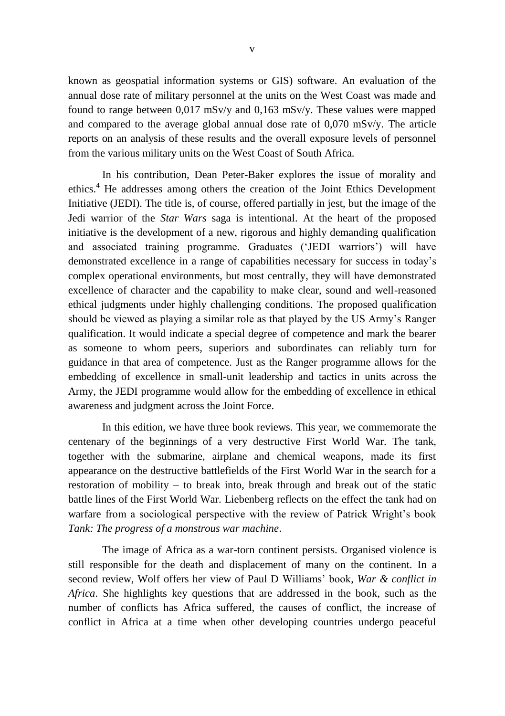known as geospatial information systems or GIS) software. An evaluation of the annual dose rate of military personnel at the units on the West Coast was made and found to range between 0,017 mSv/y and 0,163 mSv/y. These values were mapped and compared to the average global annual dose rate of 0,070 mSv/y. The article reports on an analysis of these results and the overall exposure levels of personnel from the various military units on the West Coast of South Africa.

In his contribution, Dean Peter-Baker explores the issue of morality and ethics.<sup>4</sup> He addresses among others the creation of the Joint Ethics Development Initiative (JEDI). The title is, of course, offered partially in jest, but the image of the Jedi warrior of the *Star Wars* saga is intentional. At the heart of the proposed initiative is the development of a new, rigorous and highly demanding qualification and associated training programme. Graduates ('JEDI warriors') will have demonstrated excellence in a range of capabilities necessary for success in today's complex operational environments, but most centrally, they will have demonstrated excellence of character and the capability to make clear, sound and well-reasoned ethical judgments under highly challenging conditions. The proposed qualification should be viewed as playing a similar role as that played by the US Army's Ranger qualification. It would indicate a special degree of competence and mark the bearer as someone to whom peers, superiors and subordinates can reliably turn for guidance in that area of competence. Just as the Ranger programme allows for the embedding of excellence in small-unit leadership and tactics in units across the Army, the JEDI programme would allow for the embedding of excellence in ethical awareness and judgment across the Joint Force.

In this edition, we have three book reviews. This year, we commemorate the centenary of the beginnings of a very destructive First World War. The tank, together with the submarine, airplane and chemical weapons, made its first appearance on the destructive battlefields of the First World War in the search for a restoration of mobility – to break into, break through and break out of the static battle lines of the First World War. Liebenberg reflects on the effect the tank had on warfare from a sociological perspective with the review of Patrick Wright's book *Tank: The progress of a monstrous war machine*.

The image of Africa as a war-torn continent persists. Organised violence is still responsible for the death and displacement of many on the continent. In a second review, Wolf offers her view of Paul D Williams' book, *War & conflict in Africa*. She highlights key questions that are addressed in the book, such as the number of conflicts has Africa suffered, the causes of conflict, the increase of conflict in Africa at a time when other developing countries undergo peaceful